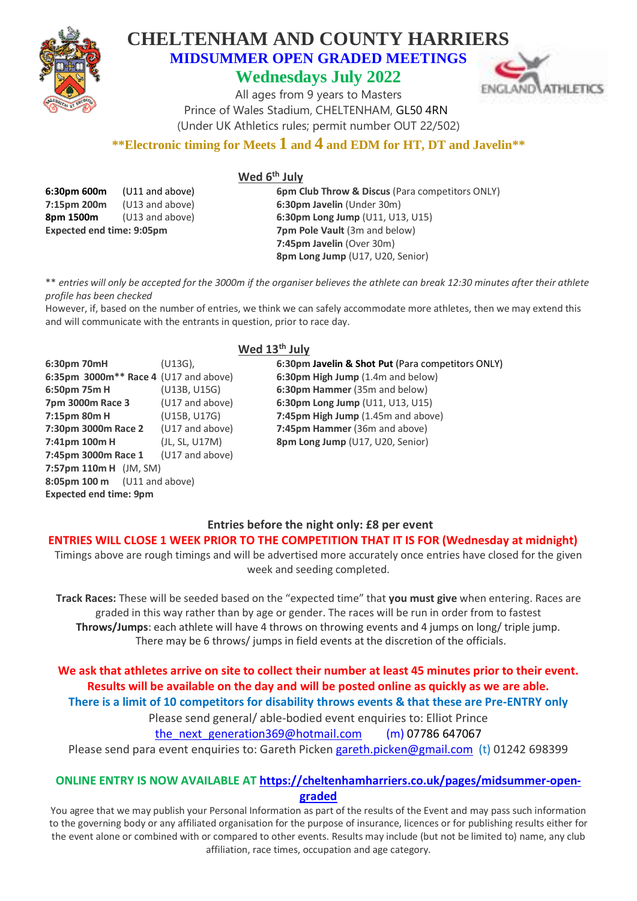

**Expected end time: 9pm**

## **CHELTENHAM AND COUNTY HARRIERS MIDSUMMER OPEN GRADED MEETINGS Wednesdays July 2022**



All ages from 9 years to Masters Prince of Wales Stadium, CHELTENHAM, GL50 4RN (Under UK Athletics rules; permit number OUT 22/502)

## **\*\*Electronic timing for Meets 1 and 4 and EDM for HT, DT and Javelin\*\***

|--|

| 6:30pm 600m                    | (U11 and above) | <b>6pm Club Throw &amp; Discus (Para competitors ONLY)</b> |
|--------------------------------|-----------------|------------------------------------------------------------|
| (U13 and above)<br>7:15pm 200m |                 | 6:30pm Javelin (Under 30m)                                 |
| 8pm 1500m                      | (U13 and above) | 6:30pm Long Jump (U11, U13, U15)                           |
| Expected end time: 9:05pm      |                 | <b>7pm Pole Vault</b> (3m and below)                       |
|                                |                 | 7:45pm Javelin (Over 30m)                                  |
|                                |                 | <b>8pm Long Jump (U17, U20, Senior)</b>                    |
|                                |                 |                                                            |

\*\* *entries will only be accepted for the 3000m if the organiser believes the athlete can break 12:30 minutes after their athlete profile has been checked*

However, if, based on the number of entries, we think we can safely accommodate more athletes, then we may extend this and will communicate with the entrants in question, prior to race day.

| Wed 13 <sup>th</sup> July               |                 |                                                   |  |  |
|-----------------------------------------|-----------------|---------------------------------------------------|--|--|
| 6:30pm 70mH                             | $(U13G)$ ,      | 6:30pm Javelin & Shot Put (Para competitors ONLY) |  |  |
| 6:35pm $3000m**$ Race 4 (U17 and above) |                 | 6:30pm High Jump (1.4m and below)                 |  |  |
| 6:50pm 75m H                            | (U13B, U15G)    | 6:30pm Hammer (35m and below)                     |  |  |
| 7pm 3000m Race 3                        | (U17 and above) | 6:30pm Long Jump (U11, U13, U15)                  |  |  |
| 7:15pm 80m H                            | (U15B, U17G)    | 7:45pm High Jump (1.45m and above)                |  |  |
| 7:30pm 3000m Race 2                     | (U17 and above) | 7:45pm Hammer (36m and above)                     |  |  |
| 7:41pm 100m H                           | (JL, SL, U17M)  | 8pm Long Jump (U17, U20, Senior)                  |  |  |
| 7:45pm 3000m Race 1                     | (U17 and above) |                                                   |  |  |
| 7:57pm $110mH$ (JM, SM)                 |                 |                                                   |  |  |
| 8:05pm 100 m                            | (U11 and above) |                                                   |  |  |

## **Entries before the night only: £8 per event**

#### **ENTRIES WILL CLOSE 1 WEEK PRIOR TO THE COMPETITION THAT IT IS FOR (Wednesday at midnight)**

Timings above are rough timings and will be advertised more accurately once entries have closed for the given week and seeding completed.

**Track Races:** These will be seeded based on the "expected time" that **you must give** when entering. Races are graded in this way rather than by age or gender. The races will be run in order from to fastest **Throws/Jumps**: each athlete will have 4 throws on throwing events and 4 jumps on long/ triple jump. There may be 6 throws/ jumps in field events at the discretion of the officials.

### **We ask that athletes arrive on site to collect their number at least 45 minutes prior to their event. Results will be available on the day and will be posted online as quickly as we are able. There is a limit of 10 competitors for disability throws events & that these are Pre-ENTRY only**

Please send general/ able-bodied event enquiries to: Elliot Prince

the next generation369@hotmail.com  $(m)$  07786 647067

Please send para event enquiries to: Gareth Picken [gareth.picken@gmail.com](mailto:gareth.picken@gmail.com) (t) 01242 698399

### **ONLINE ENTRY IS NOW AVAILABLE AT [https://cheltenhamharriers.co.uk/pages/midsummer-open](https://cheltenhamharriers.co.uk/pages/midsummer-open-graded)[graded](https://cheltenhamharriers.co.uk/pages/midsummer-open-graded)**

You agree that we may publish your Personal Information as part of the results of the Event and may pass such information to the governing body or any affiliated organisation for the purpose of insurance, licences or for publishing results either for the event alone or combined with or compared to other events. Results may include (but not be limited to) name, any club affiliation, race times, occupation and age category.